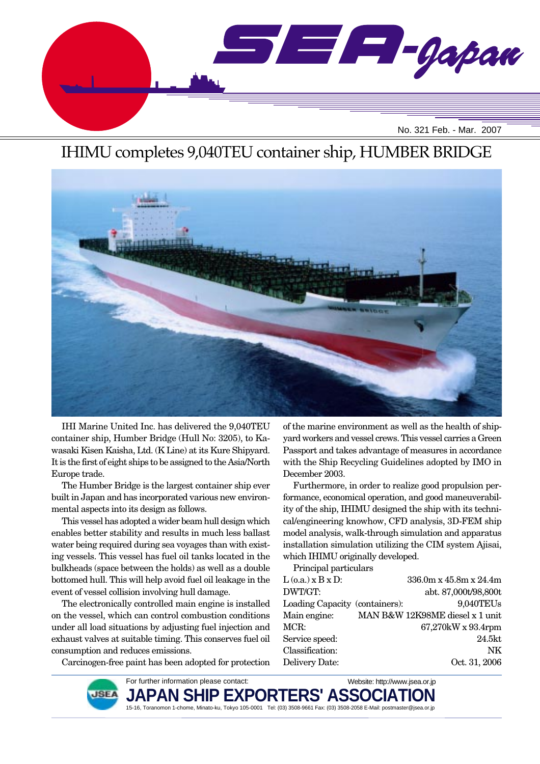

# IHIMU completes 9,040TEU container ship, HUMBER BRIDGE



IHI Marine United Inc. has delivered the 9,040TEU container ship, Humber Bridge (Hull No: 3205), to Kawasaki Kisen Kaisha, Ltd. (K Line) at its Kure Shipyard. It is the first of eight ships to be assigned to the Asia/North Europe trade.

The Humber Bridge is the largest container ship ever built in Japan and has incorporated various new environmental aspects into its design as follows.

This vessel has adopted a wider beam hull design which enables better stability and results in much less ballast water being required during sea voyages than with existing vessels. This vessel has fuel oil tanks located in the bulkheads (space between the holds) as well as a double bottomed hull. This will help avoid fuel oil leakage in the event of vessel collision involving hull damage.

The electronically controlled main engine is installed on the vessel, which can control combustion conditions under all load situations by adjusting fuel injection and exhaust valves at suitable timing. This conserves fuel oil consumption and reduces emissions.

Carcinogen-free paint has been adopted for protection

of the marine environment as well as the health of shipyard workers and vessel crews. This vessel carries a Green Passport and takes advantage of measures in accordance with the Ship Recycling Guidelines adopted by IMO in December 2003.

Furthermore, in order to realize good propulsion performance, economical operation, and good maneuverability of the ship, IHIMU designed the ship with its technical/engineering knowhow, CFD analysis, 3D-FEM ship model analysis, walk-through simulation and apparatus installation simulation utilizing the CIM system Ajisai, which IHIMU originally developed.

Principal particulars  $L$  (o.a.) x B x D:  $336.0m$  x  $45.8m$  x  $24.4m$ DWT/GT: abt. 87,000t/98,800t Loading Capacity (containers): 9,040TEUs Main engine: MAN B&W 12K98ME diesel x 1 unit MCR: 67,270kW x 93.4rpm Service speed: 24.5kt Classification: NK Delivery Date: Oct. 31, 2006

For further information please contact: Website: http://www.jsea.or.jp JAPAN SHIP EXPORTERS' ASSC **JSEA** 15-16, Toranomon 1-chome, Minato-ku, Tokyo 105-0001 Tel: (03) 3508-9661 Fax: (03) 3508-2058 E-Mail: postmaster@jsea.or.jp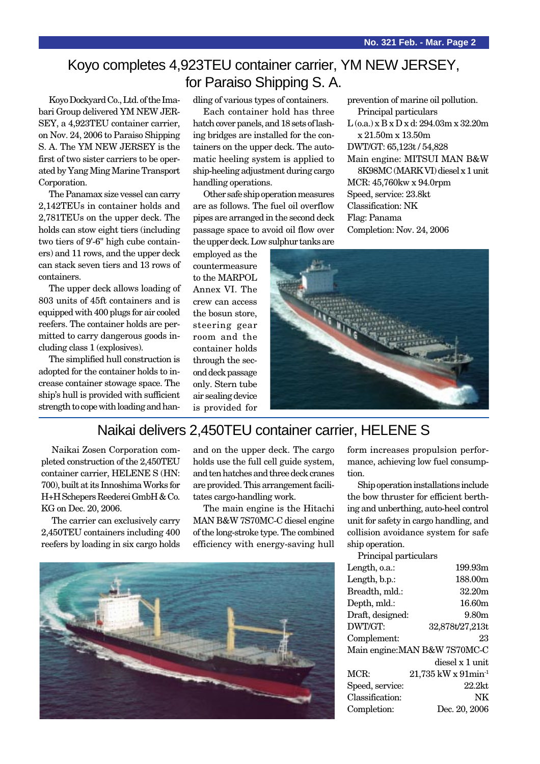## Koyo completes 4,923TEU container carrier, YM NEW JERSEY, for Paraiso Shipping S. A.

Koyo Dockyard Co., Ltd. of the Imabari Group delivered YM NEW JER-SEY, a 4,923TEU container carrier, on Nov. 24, 2006 to Paraiso Shipping S. A. The YM NEW JERSEY is the first of two sister carriers to be operated by Yang Ming Marine Transport Corporation.

The Panamax size vessel can carry 2,142TEUs in container holds and 2,781TEUs on the upper deck. The holds can stow eight tiers (including two tiers of 9'-6" high cube containers) and 11 rows, and the upper deck can stack seven tiers and 13 rows of containers.

The upper deck allows loading of 803 units of 45ft containers and is equipped with 400 plugs for air cooled reefers. The container holds are permitted to carry dangerous goods including class 1 (explosives).

The simplified hull construction is adopted for the container holds to increase container stowage space. The ship's hull is provided with sufficient strength to cope with loading and handling of various types of containers.

Each container hold has three hatch cover panels, and 18 sets of lashing bridges are installed for the containers on the upper deck. The automatic heeling system is applied to ship-heeling adjustment during cargo handling operations.

Other safe ship operation measures are as follows. The fuel oil overflow pipes are arranged in the second deck passage space to avoid oil flow over the upper deck. Low sulphur tanks are

employed as the countermeasure to the MARPOL Annex VI. The crew can access the bosun store, steering gear room and the container holds through the second deck passage only. Stern tube air sealing device is provided for prevention of marine oil pollution. Principal particulars L (o.a.) x B x D x d: 294.03m x 32.20m x 21.50m x 13.50m DWT/GT: 65,123t / 54,828 Main engine: MITSUI MAN B&W 8K98MC (MARK VI) diesel x 1 unit MCR: 45,760kw x 94.0rpm Speed, service: 23.8kt Classification: NK Flag: Panama Completion: Nov. 24, 2006



## Naikai delivers 2,450TEU container carrier, HELENE S

Naikai Zosen Corporation completed construction of the 2,450TEU container carrier, HELENE S (HN: 700), built at its Innoshima Works for H+H Schepers Reederei GmbH & Co. KG on Dec. 20, 2006.

The carrier can exclusively carry 2,450TEU containers including 400 reefers by loading in six cargo holds and on the upper deck. The cargo holds use the full cell guide system, and ten hatches and three deck cranes are provided. This arrangement facilitates cargo-handling work.

The main engine is the Hitachi MAN B&W 7S70MC-C diesel engine of the long-stroke type. The combined efficiency with energy-saving hull



form increases propulsion performance, achieving low fuel consumption.

Ship operation installations include the bow thruster for efficient berthing and unberthing, auto-heel control unit for safety in cargo handling, and collision avoidance system for safe ship operation.

| Principal particulars         |                                 |  |
|-------------------------------|---------------------------------|--|
| Length, o.a.:                 | 199.93m                         |  |
| Length, b.p.:                 | 188.00m                         |  |
| Breadth, mld.:                | 32.20m                          |  |
| Depth, mld.:                  | 16.60m                          |  |
| Draft, designed:              | 9.80m                           |  |
| DWT/GT:                       | 32,878t/27,213t                 |  |
| Complement:                   | 23                              |  |
| Main engine: MAN B&W 7S70MC-C |                                 |  |
|                               | diesel x 1 unit                 |  |
| MCR:                          | 21,735 kW x 91min <sup>-1</sup> |  |
| Speed, service:               | $22.2$ kt                       |  |
| Classification:               | NK                              |  |
| Completion:                   | Dec. 20, 2006                   |  |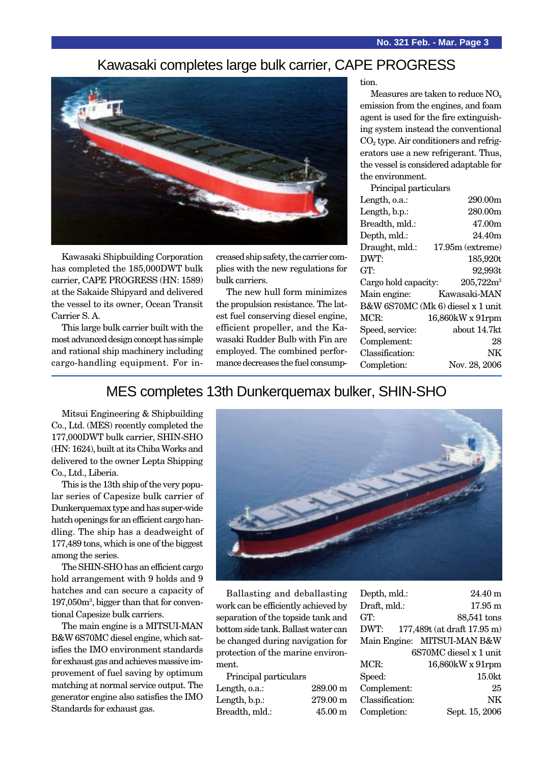### Kawasaki completes large bulk carrier, CAPE PROGRESS



Kawasaki Shipbuilding Corporation has completed the 185,000DWT bulk carrier, CAPE PROGRESS (HN: 1589) at the Sakaide Shipyard and delivered the vessel to its owner, Ocean Transit Carrier S. A.

This large bulk carrier built with the most advanced design concept has simple and rational ship machinery including cargo-handling equipment. For increased ship safety, the carrier complies with the new regulations for bulk carriers.

The new hull form minimizes the propulsion resistance. The latest fuel conserving diesel engine, efficient propeller, and the Kawasaki Rudder Bulb with Fin are employed. The combined performance decreases the fuel consumption.

Measures are taken to reduce NO<sub>x</sub> emission from the engines, and foam agent is used for the fire extinguishing system instead the conventional  $CO<sub>2</sub>$  type. Air conditioners and refrigerators use a new refrigerant. Thus, the vessel is considered adaptable for the environment.

| Principal particulars             |                    |  |
|-----------------------------------|--------------------|--|
| Length, o.a.:                     | 290.00m            |  |
| Length, b.p.:                     | 280.00m            |  |
| Breadth, mld.:                    | 47.00m             |  |
| Depth, mld.:                      | 24.40m             |  |
| Draught, mld.:                    | $17.95m$ (extreme) |  |
| DWT:                              | 185,920t           |  |
| GT:                               | 92,993t            |  |
| Cargo hold capacity:              | $205,722m^3$       |  |
| Main engine:                      | Kawasaki-MAN       |  |
| B&W 6S70MC (Mk 6) diesel x 1 unit |                    |  |
|                                   |                    |  |
| MCR:                              | 16,860kW x 91rpm   |  |
| Speed, service:                   | about 14.7kt       |  |
| Complement:                       | 28                 |  |
| Classification:                   | NΚ                 |  |
| Completion:                       | Nov. 28, 2006      |  |

### MES completes 13th Dunkerquemax bulker, SHIN-SHO

Mitsui Engineering & Shipbuilding Co., Ltd. (MES) recently completed the 177,000DWT bulk carrier, SHIN-SHO (HN: 1624), built at its Chiba Works and delivered to the owner Lepta Shipping Co., Ltd., Liberia.

This is the 13th ship of the very popular series of Capesize bulk carrier of Dunkerquemax type and has super-wide hatch openings for an efficient cargo handling. The ship has a deadweight of 177,489 tons, which is one of the biggest among the series.

The SHIN-SHO has an efficient cargo hold arrangement with 9 holds and 9 hatches and can secure a capacity of 197,050m3 , bigger than that for conventional Capesize bulk carriers.

The main engine is a MITSUI-MAN B&W 6S70MC diesel engine, which satisfies the IMO environment standards for exhaust gas and achieves massive improvement of fuel saving by optimum matching at normal service output. The generator engine also satisfies the IMO Standards for exhaust gas.



Ballasting and deballasting work can be efficiently achieved by separation of the topside tank and bottom side tank. Ballast water can be changed during navigation for protection of the marine environment.

| Principal particulars |                    |
|-----------------------|--------------------|
| Length, o.a.:         | $289.00 \text{ m}$ |
| Length, b.p.:         | 279.00 m           |
| Breadth, mld.:        | $45.00 \text{ m}$  |

| $24.40 \text{ m}$           |
|-----------------------------|
| $17.95 \text{ m}$           |
| 88,541 tons                 |
| 177,489t (at draft 17.95 m) |
| Main Engine: MITSUI-MAN B&W |
| 6S70MC diesel x 1 unit      |
| 16,860kW x 91rpm            |
| 15.0kt                      |
| 25                          |
| NK                          |
| Sept. 15, 2006              |
|                             |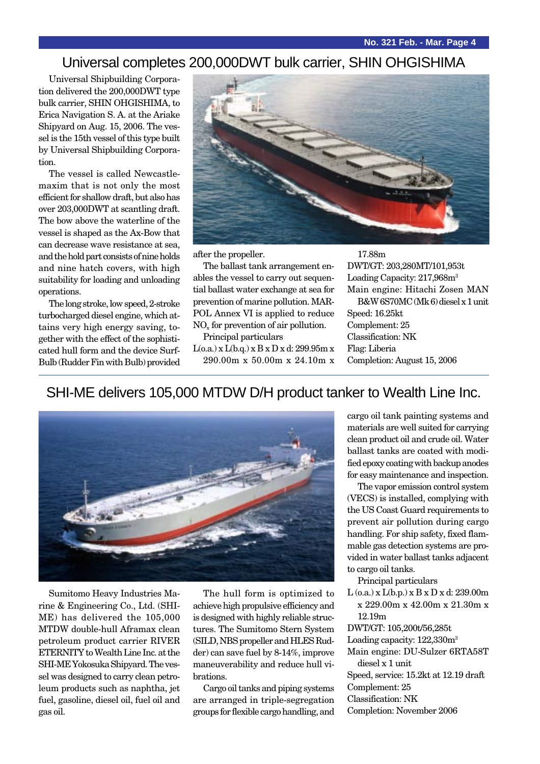### Universal completes 200,000DWT bulk carrier, SHIN OHGISHIMA

Universal Shipbuilding Corporation delivered the 200,000DWT type bulk carrier, SHIN OHGISHIMA, to Erica Navigation S. A. at the Ariake Shipyard on Aug. 15, 2006. The vessel is the 15th vessel of this type built by Universal Shipbuilding Corporation.

The vessel is called Newcastlemaxim that is not only the most efficient for shallow draft, but also has over 203,000DWT at scantling draft. The bow above the waterline of the vessel is shaped as the Ax-Bow that can decrease wave resistance at sea, and the hold part consists of nine holds and nine hatch covers, with high suitability for loading and unloading operations.

The long stroke, low speed, 2-stroke turbocharged diesel engine, which attains very high energy saving, together with the effect of the sophisticated hull form and the device Surf-Bulb (Rudder Fin with Bulb) provided



after the propeller.

The ballast tank arrangement enables the vessel to carry out sequential ballast water exchange at sea for prevention of marine pollution. MAR-POL Annex VI is applied to reduce NOx for prevention of air pollution.

Principal particulars L(o.a.) x L(b.q.) x B x D x d: 299.95m x

290.00m x 50.00m x 24.10m x

DWT/GT: 203,280MT/101,953t Loading Capacity: 217,968m<sup>3</sup> Main engine: Hitachi Zosen MAN B&W 6S70MC (Mk 6) diesel x 1 unit Speed: 16.25kt Complement: 25 Classification: NK Flag: Liberia Completion: August 15, 2006

### SHI-ME delivers 105,000 MTDW D/H product tanker to Wealth Line Inc.



Sumitomo Heavy Industries Marine & Engineering Co., Ltd. (SHI-ME) has delivered the 105,000 MTDW double-hull Aframax clean petroleum product carrier RIVER ETERNITY to Wealth Line Inc. at the SHI-ME Yokosuka Shipyard. The vessel was designed to carry clean petroleum products such as naphtha, jet fuel, gasoline, diesel oil, fuel oil and gas oil.

The hull form is optimized to achieve high propulsive efficiency and is designed with highly reliable structures. The Sumitomo Stern System (SILD, NBS propeller and HLES Rudder) can save fuel by 8-14%, improve maneuverability and reduce hull vibrations.

Cargo oil tanks and piping systems are arranged in triple-segregation groups for flexible cargo handling, and cargo oil tank painting systems and materials are well suited for carrying clean product oil and crude oil. Water ballast tanks are coated with modified epoxy coating with backup anodes for easy maintenance and inspection.

The vapor emission control system (VECS) is installed, complying with the US Coast Guard requirements to prevent air pollution during cargo handling. For ship safety, fixed flammable gas detection systems are provided in water ballast tanks adjacent to cargo oil tanks.

Principal particulars

 $L$  (o.a.) x  $L$ (b.p.) x  $B$  x  $D$  x d: 239.00m x 229.00m x 42.00m x 21.30m x 12.19m

DWT/GT: 105,200t/56,285t

Loading capacity:  $122,330m<sup>3</sup>$ 

- Main engine: DU-Sulzer 6RTA58T diesel x 1 unit
- Speed, service: 15.2kt at 12.19 draft
- Complement: 25
- Classification: NK
- Completion: November 2006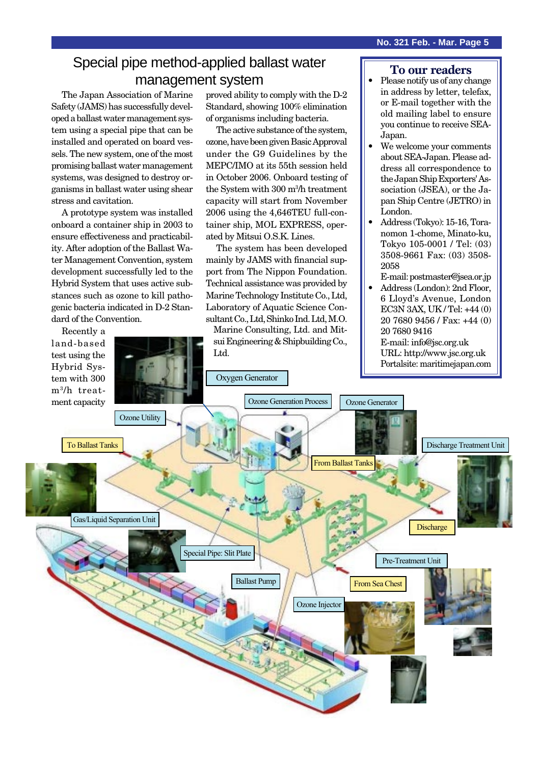### Special pipe method-applied ballast water management system

The Japan Association of Marine Safety (JAMS) has successfully developed a ballast water management system using a special pipe that can be installed and operated on board vessels. The new system, one of the most promising ballast water management systems, was designed to destroy organisms in ballast water using shear stress and cavitation.

A prototype system was installed onboard a container ship in 2003 to ensure effectiveness and practicability. After adoption of the Ballast Water Management Convention, system development successfully led to the Hybrid System that uses active substances such as ozone to kill pathogenic bacteria indicated in D-2 Standard of the Convention.

Recently a

proved ability to comply with the D-2 Standard, showing 100% elimination of organisms including bacteria.

The active substance of the system, ozone, have been given Basic Approval under the G9 Guidelines by the MEPC/IMO at its 55th session held in October 2006. Onboard testing of the System with 300 m3 /h treatment capacity will start from November 2006 using the 4,646TEU full-container ship, MOL EXPRESS, operated by Mitsui O.S.K. Lines.

The system has been developed mainly by JAMS with financial support from The Nippon Foundation. Technical assistance was provided by Marine Technology Institute Co., Ltd, Laboratory of Aquatic Science Consultant Co., Ltd, Shinko Ind. Ltd, M.O.

Marine Consulting, Ltd. and Mitsui Engineering & Shipbuilding Co., Ltd.

#### **To our readers**

- Please notify us of any change in address by letter, telefax, or E-mail together with the old mailing label to ensure you continue to receive SEA-Japan.
- We welcome your comments about SEA-Japan. Please address all correspondence to the Japan Ship Exporters' Association (JSEA), or the Japan Ship Centre (JETRO) in London.
- Address (Tokyo): 15-16, Toranomon 1-chome, Minato-ku, Tokyo 105-0001 / Tel: (03) 3508-9661 Fax: (03) 3508- 2058

E-mail: postmaster@jsea.or.jp

• Address (London): 2nd Floor, 6 Lloyd's Avenue, London EC3N 3AX, UK / Tel: +44 (0) 20 7680 9456 / Fax: +44 (0) 20 7680 9416